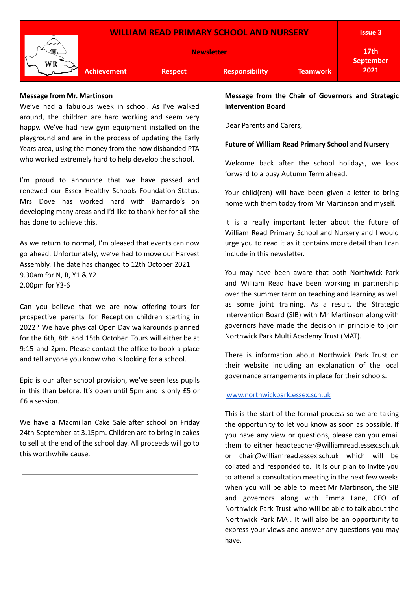

### **Message from Mr. Martinson**

We've had a fabulous week in school. As I've walked around, the children are hard working and seem very happy. We've had new gym equipment installed on the playground and are in the process of updating the Early Years area, using the money from the now disbanded PTA who worked extremely hard to help develop the school.

I'm proud to announce that we have passed and renewed our Essex Healthy Schools Foundation Status. Mrs Dove has worked hard with Barnardo's on developing many areas and I'd like to thank her for all she has done to achieve this.

As we return to normal, I'm pleased that events can now go ahead. Unfortunately, we've had to move our Harvest Assembly. The date has changed to 12th October 2021 9.30am for N, R, Y1 & Y2 2.00pm for Y3-6

Can you believe that we are now offering tours for prospective parents for Reception children starting in 2022? We have physical Open Day walkarounds planned for the 6th, 8th and 15th October. Tours will either be at 9:15 and 2pm. Please contact the office to book a place and tell anyone you know who is looking for a school.

Epic is our after school provision, we've seen less pupils in this than before. It's open until 5pm and is only £5 or £6 a session.

We have a Macmillan Cake Sale after school on Friday 24th September at 3.15pm. Children are to bring in cakes to sell at the end of the school day. All proceeds will go to this worthwhile cause.

**Message from the Chair of Governors and Strategic Intervention Board**

Dear Parents and Carers,

#### **Future of William Read Primary School and Nursery**

Welcome back after the school holidays, we look forward to a busy Autumn Term ahead.

Your child(ren) will have been given a letter to bring home with them today from Mr Martinson and myself.

It is a really important letter about the future of William Read Primary School and Nursery and I would urge you to read it as it contains more detail than I can include in this newsletter.

You may have been aware that both Northwick Park and William Read have been working in partnership over the summer term on teaching and learning as well as some joint training. As a result, the Strategic Intervention Board (SIB) with Mr Martinson along with governors have made the decision in principle to join Northwick Park Multi Academy Trust (MAT).

There is information about Northwick Park Trust on their website including an explanation of the local governance arrangements in place for their schools.

### [www.northwickpark.essex.sch.uk](http://www.northwickpark.essex.sch.uk/)

This is the start of the formal process so we are taking the opportunity to let you know as soon as possible. If you have any view or questions, please can you email them to either headteacher@williamread.essex.sch.uk or chair@williamread.essex.sch.uk which will be collated and responded to. It is our plan to invite you to attend a consultation meeting in the next few weeks when you will be able to meet Mr Martinson, the SIB and governors along with Emma Lane, CEO of Northwick Park Trust who will be able to talk about the Northwick Park MAT. It will also be an opportunity to express your views and answer any questions you may have.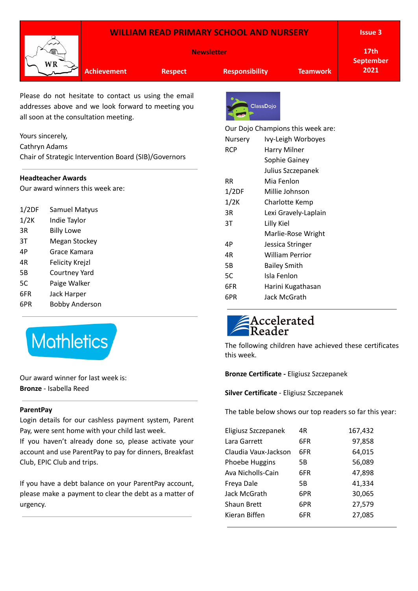|                                                                                            | WR                                                                                                                             | <b>WILLIAM READ PRIMARY SCHOOL AND NURSERY</b><br><b>Newsletter</b>                                                                                 |                            |                       |                                                                                                                                                                |                                          | <b>Issue 3</b><br>17 <sub>th</sub>                      |
|--------------------------------------------------------------------------------------------|--------------------------------------------------------------------------------------------------------------------------------|-----------------------------------------------------------------------------------------------------------------------------------------------------|----------------------------|-----------------------|----------------------------------------------------------------------------------------------------------------------------------------------------------------|------------------------------------------|---------------------------------------------------------|
|                                                                                            |                                                                                                                                | <b>Achievement</b>                                                                                                                                  | <b>Respect</b>             |                       | <b>Responsibility</b><br><b>Teamwork</b>                                                                                                                       |                                          | <b>September</b><br>2021                                |
|                                                                                            |                                                                                                                                | Please do not hesitate to contact us using the email<br>addresses above and we look forward to meeting you<br>all soon at the consultation meeting. |                            |                       | <b>ClassDojo</b>                                                                                                                                               |                                          |                                                         |
| Yours sincerely,<br>Cathryn Adams<br>Chair of Strategic Intervention Board (SIB)/Governors |                                                                                                                                |                                                                                                                                                     |                            | Nursery<br><b>RCP</b> | Our Dojo Champions this week are:<br>Ivy-Leigh Worboyes<br>Harry Milner<br>Sophie Gainey<br>Julius Szczepanek<br>Mia Fenlon<br>Millie Johnson                  |                                          |                                                         |
| <b>Headteacher Awards</b><br>Our award winners this week are:                              |                                                                                                                                |                                                                                                                                                     | <b>RR</b><br>1/2DF<br>1/2K |                       |                                                                                                                                                                |                                          |                                                         |
| 1/2DF<br>1/2K<br>3R<br>3T<br>4P<br>4R<br>5В                                                | <b>Samuel Matyus</b><br>Indie Taylor<br><b>Billy Lowe</b><br>Megan Stockey<br>Grace Kamara<br>Felicity Krejzl<br>Courtney Yard |                                                                                                                                                     |                            |                       | Charlotte Kemp<br>Lexi Gravely-Laplain<br>Lilly Kiel<br>Marlie-Rose Wright<br>Jessica Stringer<br><b>William Perrior</b><br><b>Bailey Smith</b><br>Isla Fenlon |                                          |                                                         |
| 5C<br>6FR<br>6PR                                                                           | Paige Walker<br>Jack Harper<br><b>Bobby Anderson</b>                                                                           |                                                                                                                                                     |                            | 5C<br>6FR<br>6PR      |                                                                                                                                                                | Harini Kugathasan<br><b>Jack McGrath</b> |                                                         |
|                                                                                            | <b>Mathletics</b>                                                                                                              |                                                                                                                                                     |                            |                       |                                                                                                                                                                | Accelerate <mark>d</mark><br>Reader      | The following children have achieved these certificates |

Our award winner for last week is:

**Bronze** - Isabella Reed

# **ParentPay**

Login details for our cashless payment system, Parent Pay, were sent home with your child last week.

If you haven't already done so, please activate your account and use ParentPay to pay for dinners, Breakfast Club, EPIC Club and trips.

If you have a debt balance on your ParentPay account, please make a payment to clear the debt as a matter of urgency.

The following children have achieved these certificates this week.

# **Bronze Certificate -** Eligiusz Szczepanek

**Silver Certificate** - Eligiusz Szczepanek

The table below shows our top readers so far this year:

| Eligiusz Szczepanek  | 4R  | 167,432 |
|----------------------|-----|---------|
| Lara Garrett         | 6FR | 97,858  |
| Claudia Vaux-Jackson | 6FR | 64,015  |
| Phoebe Huggins       | 5B  | 56,089  |
| Ava Nicholls-Cain    | 6FR | 47,898  |
| Freya Dale           | 5B  | 41,334  |
| Jack McGrath         | 6PR | 30,065  |
| <b>Shaun Brett</b>   | 6PR | 27,579  |
| Kieran Biffen        | 6FR | 27,085  |
|                      |     |         |